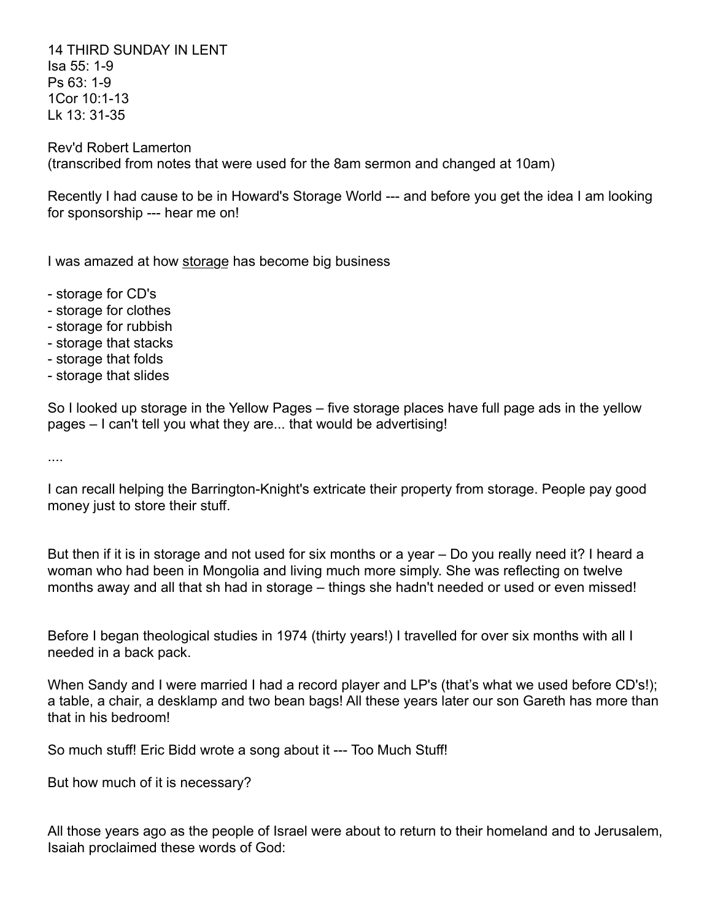14 THIRD SUNDAY IN LENT Isa 55: 1-9 Ps 63: 1-9 1Cor 10:1-13 Lk 13: 31-35

Rev'd Robert Lamerton (transcribed from notes that were used for the 8am sermon and changed at 10am)

Recently I had cause to be in Howard's Storage World --- and before you get the idea I am looking for sponsorship --- hear me on!

I was amazed at how storage has become big business

- storage for CD's
- storage for clothes
- storage for rubbish
- storage that stacks
- storage that folds
- storage that slides

So I looked up storage in the Yellow Pages – five storage places have full page ads in the yellow pages – I can't tell you what they are... that would be advertising!

....

I can recall helping the Barrington-Knight's extricate their property from storage. People pay good money just to store their stuff.

But then if it is in storage and not used for six months or a year – Do you really need it? I heard a woman who had been in Mongolia and living much more simply. She was reflecting on twelve months away and all that sh had in storage – things she hadn't needed or used or even missed!

Before I began theological studies in 1974 (thirty years!) I travelled for over six months with all I needed in a back pack.

When Sandy and I were married I had a record player and LP's (that's what we used before CD's!); a table, a chair, a desklamp and two bean bags! All these years later our son Gareth has more than that in his bedroom!

So much stuff! Eric Bidd wrote a song about it --- Too Much Stuff!

But how much of it is necessary?

All those years ago as the people of Israel were about to return to their homeland and to Jerusalem, Isaiah proclaimed these words of God: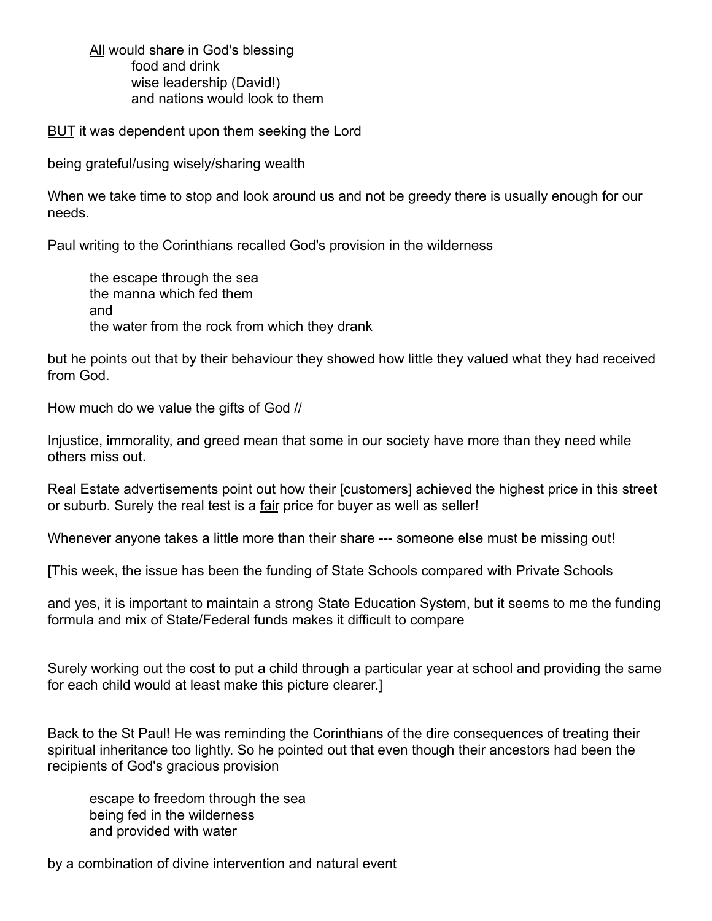All would share in God's blessing food and drink wise leadership (David!) and nations would look to them

BUT it was dependent upon them seeking the Lord

being grateful/using wisely/sharing wealth

When we take time to stop and look around us and not be greedy there is usually enough for our needs.

Paul writing to the Corinthians recalled God's provision in the wilderness

the escape through the sea the manna which fed them and the water from the rock from which they drank

but he points out that by their behaviour they showed how little they valued what they had received from God.

How much do we value the gifts of God //

Injustice, immorality, and greed mean that some in our society have more than they need while others miss out.

Real Estate advertisements point out how their [customers] achieved the highest price in this street or suburb. Surely the real test is a fair price for buyer as well as seller!

Whenever anyone takes a little more than their share --- someone else must be missing out!

[This week, the issue has been the funding of State Schools compared with Private Schools

and yes, it is important to maintain a strong State Education System, but it seems to me the funding formula and mix of State/Federal funds makes it difficult to compare

Surely working out the cost to put a child through a particular year at school and providing the same for each child would at least make this picture clearer.]

Back to the St Paul! He was reminding the Corinthians of the dire consequences of treating their spiritual inheritance too lightly. So he pointed out that even though their ancestors had been the recipients of God's gracious provision

escape to freedom through the sea being fed in the wilderness and provided with water

by a combination of divine intervention and natural event